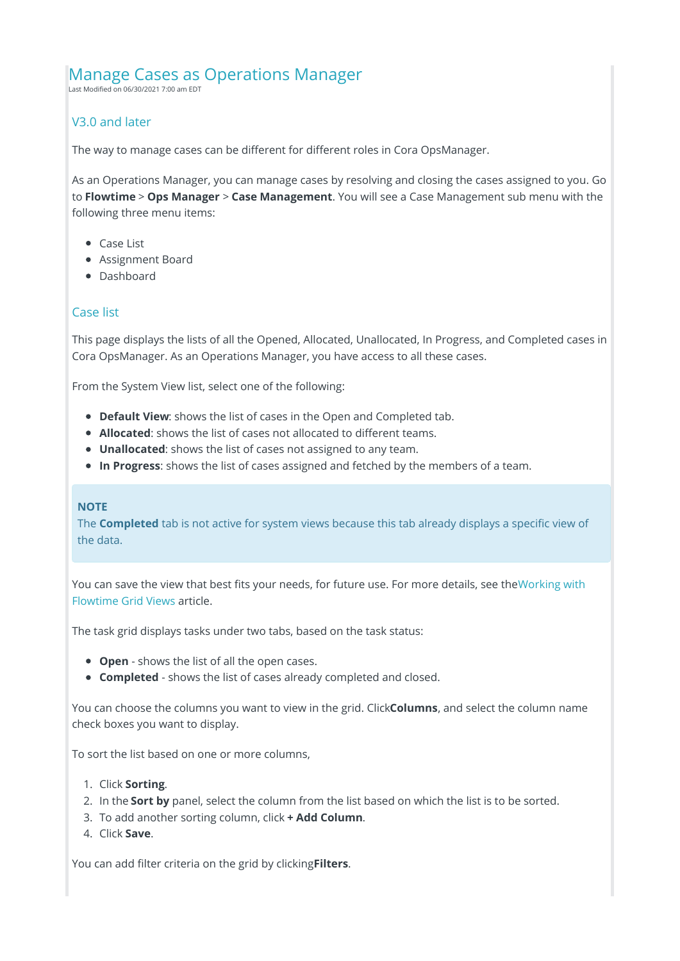# Manage Cases as Operations Manager

Last Modified on 06/30/2021 7:00 am EDT

# V3.0 and later

The way to manage cases can be different for different roles in Cora OpsManager.

As an Operations Manager, you can manage cases by resolving and closing the cases assigned to you. Go to **Flowtime** > **Ops Manager** > **Case Management**. You will see a Case Management sub menu with the following three menu items:

- Case List
- Assignment Board
- Dashboard

# Case list

This page displays the lists of all the Opened, Allocated, Unallocated, In Progress, and Completed cases in Cora OpsManager. As an Operations Manager, you have access to all these cases.

From the System View list, select one of the following:

- **Default View**: shows the list of cases in the Open and Completed tab.
- **Allocated**: shows the list of cases not allocated to different teams.
- **Unallocated**: shows the list of cases not assigned to any team.
- **In Progress**: shows the list of cases assigned and fetched by the members of a team.

### **NOTE**

The **Completed** tab is not active for system views because this tab already displays a specific view of the data.

You can save the view that best fits your needs, for future use. For more details, see theWorking with Flowtime Grid Views article.

The task grid displays tasks under two tabs, based on the task status:

- **Open** shows the list of all the open cases.
- **Completed** shows the list of cases already completed and closed.

You can choose the columns you want to view in the grid. Click**Columns**, and select the column name check boxes you want to display.

To sort the list based on one or more columns,

- 1. Click **Sorting**.
- 2. In the **Sort by** panel, select the column from the list based on which the list is to be sorted.
- 3. To add another sorting column, click **+ Add Column**.
- 4. Click **Save**.

You can add filter criteria on the grid by clicking**Filters**.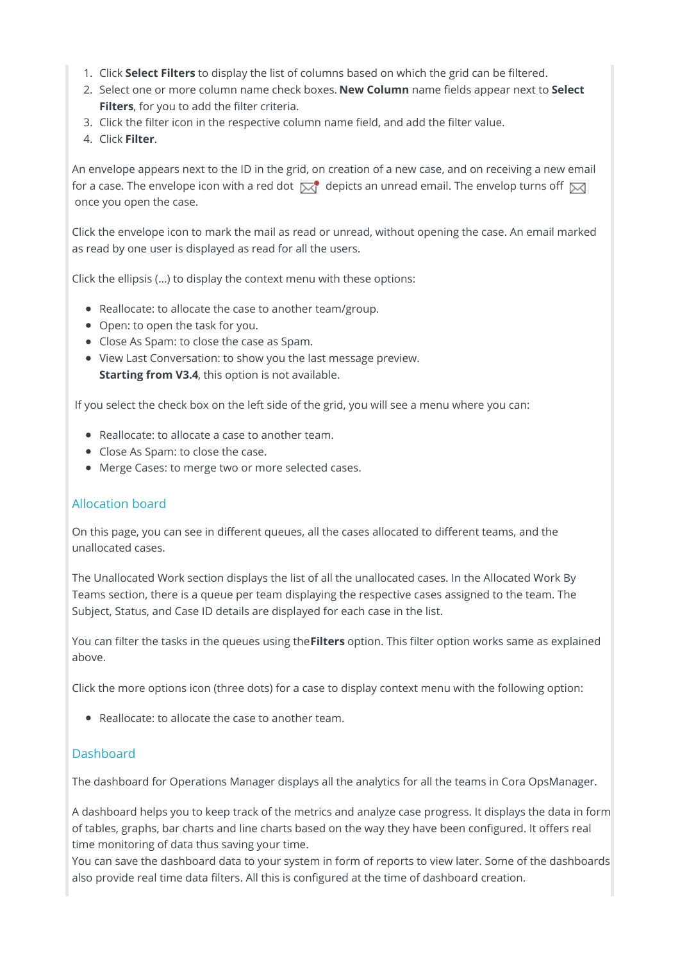- 1. Click **Select Filters** to display the list of columns based on which the grid can be filtered.
- 2. Select one or more column name check boxes. **New Column** name fields appear next to **Select Filters**, for you to add the filter criteria.
- 3. Click the filter icon in the respective column name field, and add the filter value.
- 4. Click **Filter**.

An envelope appears next to the ID in the grid, on creation of a new case, and on receiving a new email for a case. The envelope icon with a red dot  $\overline{\boxtimes}$  depicts an unread email. The envelop turns off  $\overline{\boxtimes}$ once you open the case.

Click the envelope icon to mark the mail as read or unread, without opening the case. An email marked as read by one user is displayed as read for all the users.

Click the ellipsis (...) to display the context menu with these options:

- Reallocate: to allocate the case to another team/group.
- Open: to open the task for you.
- Close As Spam: to close the case as Spam.
- View Last Conversation: to show you the last message preview. **Starting from V3.4**, this option is not available.

If you select the check box on the left side of the grid, you will see a menu where you can:

- Reallocate: to allocate a case to another team.
- Close As Spam: to close the case.
- Merge Cases: to merge two or more selected cases.

### Allocation board

On this page, you can see in different queues, all the cases allocated to different teams, and the unallocated cases.

The Unallocated Work section displays the list of all the unallocated cases. In the Allocated Work By Teams section, there is a queue per team displaying the respective cases assigned to the team. The Subject, Status, and Case ID details are displayed for each case in the list.

You can filter the tasks in the queues using the**Filters** option. This filter option works same as explained above.

Click the more options icon (three dots) for a case to display context menu with the following option:

Reallocate: to allocate the case to another team.

## **Dashboard**

The dashboard for Operations Manager displays all the analytics for all the teams in Cora OpsManager.

A dashboard helps you to keep track of the metrics and analyze case progress. It displays the data in form of tables, graphs, bar charts and line charts based on the way they have been configured. It offers real time monitoring of data thus saving your time.

You can save the dashboard data to your system in form of reports to view later. Some of the dashboards also provide real time data filters. All this is configured at the time of dashboard creation.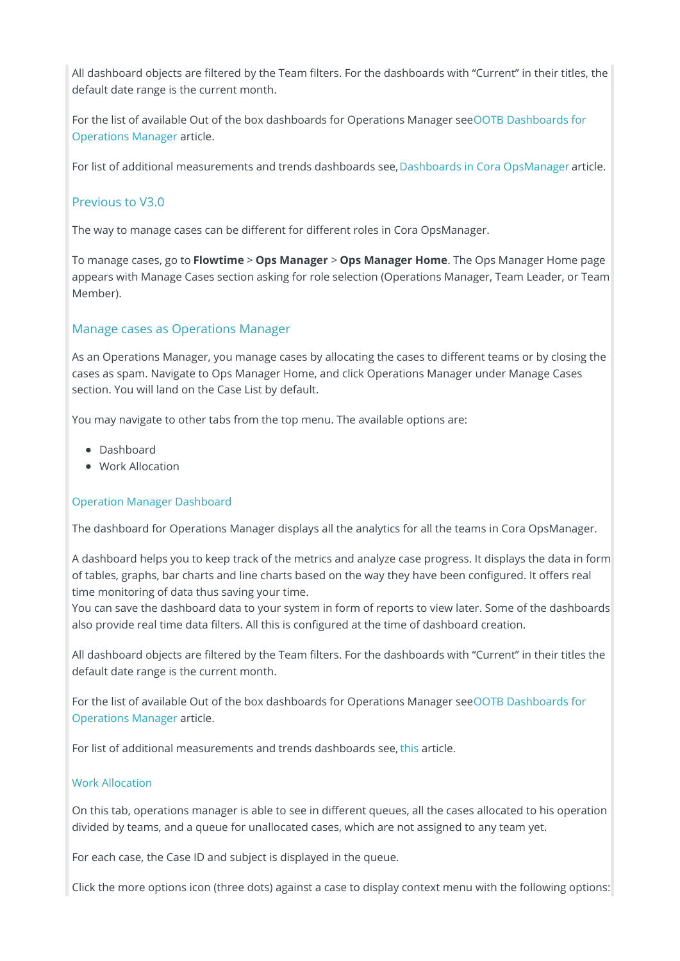All dashboard objects are filtered by the Team filters. For the dashboards with "Current" in their titles, the default date range is the current month.

For the list of available Out of the box dashboards for Operations Manager seeOOTB Dashboards for Operations Manager article.

For list of additional measurements and trends dashboards see, Dashboards in Cora OpsManager article.

# Previous to V3.0

The way to manage cases can be different for different roles in Cora OpsManager.

To manage cases, go to **Flowtime** > **Ops Manager** > **Ops Manager Home**. The Ops Manager Home page appears with Manage Cases section asking for role selection (Operations Manager, Team Leader, or Team Member).

## Manage cases as Operations Manager

As an Operations Manager, you manage cases by allocating the cases to different teams or by closing the cases as spam. Navigate to Ops Manager Home, and click Operations Manager under Manage Cases section. You will land on the Case List by default.

You may navigate to other tabs from the top menu. The available options are:

- Dashboard
- Work Allocation

### Operation Manager Dashboard

The dashboard for Operations Manager displays all the analytics for all the teams in Cora OpsManager.

A dashboard helps you to keep track of the metrics and analyze case progress. It displays the data in form of tables, graphs, bar charts and line charts based on the way they have been configured. It offers real time monitoring of data thus saving your time.

You can save the dashboard data to your system in form of reports to view later. Some of the dashboards also provide real time data filters. All this is configured at the time of dashboard creation.

All dashboard objects are filtered by the Team filters. For the dashboards with "Current" in their titles the default date range is the current month.

For the list of available Out of the box dashboards for Operations Manager seeOOTB Dashboards for Operations Manager article.

For list of additional measurements and trends dashboards see, this article.

#### Work Allocation

On this tab, operations manager is able to see in different queues, all the cases allocated to his operation divided by teams, and a queue for unallocated cases, which are not assigned to any team yet.

For each case, the Case ID and subject is displayed in the queue.

Click the more options icon (three dots) against a case to display context menu with the following options: